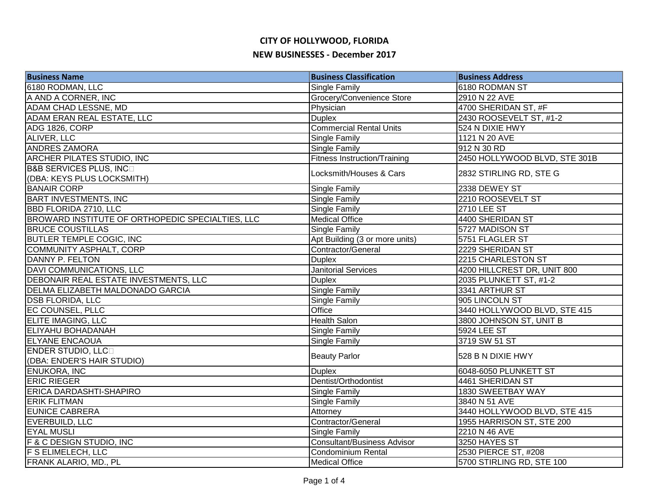| <b>Business Name</b>                             | <b>Business Classification</b>      | <b>Business Address</b>       |
|--------------------------------------------------|-------------------------------------|-------------------------------|
| 6180 RODMAN, LLC                                 | Single Family                       | 6180 RODMAN ST                |
| A AND A CORNER, INC                              | Grocery/Convenience Store           | 2910 N 22 AVE                 |
| ADAM CHAD LESSNE, MD                             | Physician                           | 4700 SHERIDAN ST, #F          |
| ADAM ERAN REAL ESTATE, LLC                       | <b>Duplex</b>                       | 2430 ROOSEVELT ST, #1-2       |
| <b>ADG 1826, CORP</b>                            | <b>Commercial Rental Units</b>      | 524 N DIXIE HWY               |
| ALIVER, LLC                                      | <b>Single Family</b>                | 1121 N 20 AVE                 |
| <b>ANDRES ZAMORA</b>                             | <b>Single Family</b>                | 912 N 30 RD                   |
| ARCHER PILATES STUDIO, INC                       | <b>Fitness Instruction/Training</b> | 2450 HOLLYWOOD BLVD, STE 301B |
| <b>B&amp;B SERVICES PLUS, INCO</b>               | Locksmith/Houses & Cars             | 2832 STIRLING RD, STE G       |
| (DBA: KEYS PLUS LOCKSMITH)                       |                                     |                               |
| <b>BANAIR CORP</b>                               | <b>Single Family</b>                | 2338 DEWEY ST                 |
| <b>BART INVESTMENTS, INC</b>                     | Single Family                       | 2210 ROOSEVELT ST             |
| <b>BBD FLORIDA 2710, LLC</b>                     | <b>Single Family</b>                | <b>2710 LEE ST</b>            |
| BROWARD INSTITUTE OF ORTHOPEDIC SPECIALTIES, LLC | <b>Medical Office</b>               | 4400 SHERIDAN ST              |
| <b>BRUCE COUSTILLAS</b>                          | <b>Single Family</b>                | 5727 MADISON ST               |
| <b>BUTLER TEMPLE COGIC, INC</b>                  | Apt Building (3 or more units)      | 5751 FLAGLER ST               |
| <b>COMMUNITY ASPHALT, CORP</b>                   | Contractor/General                  | 2229 SHERIDAN ST              |
| DANNY P. FELTON                                  | <b>Duplex</b>                       | 2215 CHARLESTON ST            |
| <b>DAVI COMMUNICATIONS, LLC</b>                  | <b>Janitorial Services</b>          | 4200 HILLCREST DR, UNIT 800   |
| DEBONAIR REAL ESTATE INVESTMENTS, LLC            | <b>Duplex</b>                       | 2035 PLUNKETT ST, #1-2        |
| DELMA ELIZABETH MALDONADO GARCIA                 | <b>Single Family</b>                | 3341 ARTHUR ST                |
| <b>DSB FLORIDA, LLC</b>                          | Single Family                       | 905 LINCOLN ST                |
| <b>EC COUNSEL, PLLC</b>                          | Office                              | 3440 HOLLYWOOD BLVD, STE 415  |
| <b>ELITE IMAGING, LLC</b>                        | <b>Health Salon</b>                 | 3800 JOHNSON ST, UNIT B       |
| <b>ELIYAHU BOHADANAH</b>                         | Single Family                       | 5924 LEE ST                   |
| <b>ELYANE ENCAOUA</b>                            | <b>Single Family</b>                | 3719 SW 51 ST                 |
| <b>ENDER STUDIO, LLCD</b>                        | <b>Beauty Parlor</b>                | 528 B N DIXIE HWY             |
| (DBA: ENDER'S HAIR STUDIO)                       |                                     |                               |
| <b>ENUKORA, INC</b>                              | <b>Duplex</b>                       | 6048-6050 PLUNKETT ST         |
| <b>ERIC RIEGER</b>                               | Dentist/Orthodontist                | 4461 SHERIDAN ST              |
| ERICA DARDASHTI-SHAPIRO                          | Single Family                       | 1830 SWEETBAY WAY             |
| <b>ERIK FLITMAN</b>                              | Single Family                       | 3840 N 51 AVE                 |
| <b>EUNICE CABRERA</b>                            | Attorney                            | 3440 HOLLYWOOD BLVD, STE 415  |
| EVERBUILD, LLC                                   | Contractor/General                  | 1955 HARRISON ST, STE 200     |
| <b>EYAL MUSLI</b>                                | <b>Single Family</b>                | 2210 N 46 AVE                 |
| <b>F &amp; C DESIGN STUDIO, INC</b>              | <b>Consultant/Business Advisor</b>  | 3250 HAYES ST                 |
| <b>F S ELIMELECH, LLC</b>                        | Condominium Rental                  | 2530 PIERCE ST, #208          |
| FRANK ALARIO, MD., PL                            | <b>Medical Office</b>               | 5700 STIRLING RD, STE 100     |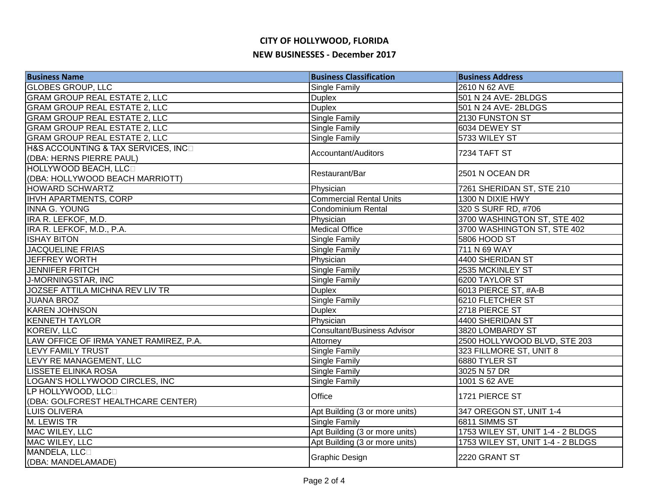| <b>Business Name</b>                   | <b>Business Classification</b>     | <b>Business Address</b>           |
|----------------------------------------|------------------------------------|-----------------------------------|
| <b>GLOBES GROUP, LLC</b>               | <b>Single Family</b>               | 2610 N 62 AVE                     |
| <b>GRAM GROUP REAL ESTATE 2, LLC</b>   | <b>Duplex</b>                      | 501 N 24 AVE-2BLDGS               |
| <b>GRAM GROUP REAL ESTATE 2, LLC</b>   | <b>Duplex</b>                      | 501 N 24 AVE-2BLDGS               |
| <b>GRAM GROUP REAL ESTATE 2, LLC</b>   | <b>Single Family</b>               | 2130 FUNSTON ST                   |
| <b>GRAM GROUP REAL ESTATE 2, LLC</b>   | <b>Single Family</b>               | 6034 DEWEY ST                     |
| <b>GRAM GROUP REAL ESTATE 2, LLC</b>   | <b>Single Family</b>               | 5733 WILEY ST                     |
| H&S ACCOUNTING & TAX SERVICES, INCO    |                                    | 7234 TAFT ST                      |
| (DBA: HERNS PIERRE PAUL)               | Accountant/Auditors                |                                   |
| HOLLYWOOD BEACH, LLCO                  | Restaurant/Bar                     | 2501 N OCEAN DR                   |
| (DBA: HOLLYWOOD BEACH MARRIOTT)        |                                    |                                   |
| <b>HOWARD SCHWARTZ</b>                 | Physician                          | 7261 SHERIDAN ST, STE 210         |
| <b>IHVH APARTMENTS, CORP</b>           | <b>Commercial Rental Units</b>     | 1300 N DIXIE HWY                  |
| <b>INNA G. YOUNG</b>                   | Condominium Rental                 | 320 S SURF RD, #706               |
| IRA R. LEFKOF, M.D.                    | Physician                          | 3700 WASHINGTON ST, STE 402       |
| IRA R. LEFKOF, M.D., P.A.              | <b>Medical Office</b>              | 3700 WASHINGTON ST, STE 402       |
| <b>ISHAY BITON</b>                     | <b>Single Family</b>               | 5806 HOOD ST                      |
| <b>JACQUELINE FRIAS</b>                | <b>Single Family</b>               | 711 N 69 WAY                      |
| <b>JEFFREY WORTH</b>                   | Physician                          | 4400 SHERIDAN ST                  |
| <b>JENNIFER FRITCH</b>                 | <b>Single Family</b>               | 2535 MCKINLEY ST                  |
| J-MORNINGSTAR, INC                     | Single Family                      | 6200 TAYLOR ST                    |
| JOZSEF ATTILA MICHNA REV LIV TR        | <b>Duplex</b>                      | 6013 PIERCE ST, #A-B              |
| <b>JUANA BROZ</b>                      | <b>Single Family</b>               | 6210 FLETCHER ST                  |
| <b>KAREN JOHNSON</b>                   | <b>Duplex</b>                      | 2718 PIERCE ST                    |
| <b>KENNETH TAYLOR</b>                  | Physician                          | 4400 SHERIDAN ST                  |
| KOREIV, LLC                            | <b>Consultant/Business Advisor</b> | 3820 LOMBARDY ST                  |
| LAW OFFICE OF IRMA YANET RAMIREZ, P.A. | Attorney                           | 2500 HOLLYWOOD BLVD, STE 203      |
| <b>LEVY FAMILY TRUST</b>               | <b>Single Family</b>               | 323 FILLMORE ST, UNIT 8           |
| LEVY RE MANAGEMENT, LLC                | <b>Single Family</b>               | 6880 TYLER ST                     |
| <b>LISSETE ELINKA ROSA</b>             | <b>Single Family</b>               | 3025 N 57 DR                      |
| LOGAN'S HOLLYWOOD CIRCLES, INC         | <b>Single Family</b>               | 1001 S 62 AVE                     |
| LP HOLLYWOOD, LLC                      | Office                             | 1721 PIERCE ST                    |
| (DBA: GOLFCREST HEALTHCARE CENTER)     |                                    |                                   |
| <b>LUIS OLIVERA</b>                    | Apt Building (3 or more units)     | 347 OREGON ST, UNIT 1-4           |
| M. LEWIS TR                            | <b>Single Family</b>               | 6811 SIMMS ST                     |
| MAC WILEY, LLC                         | Apt Building (3 or more units)     | 1753 WILEY ST, UNIT 1-4 - 2 BLDGS |
| MAC WILEY, LLC                         | Apt Building (3 or more units)     | 1753 WILEY ST, UNIT 1-4 - 2 BLDGS |
| MANDELA, LLCO                          |                                    | 2220 GRANT ST                     |
| (DBA: MANDELAMADE)                     | Graphic Design                     |                                   |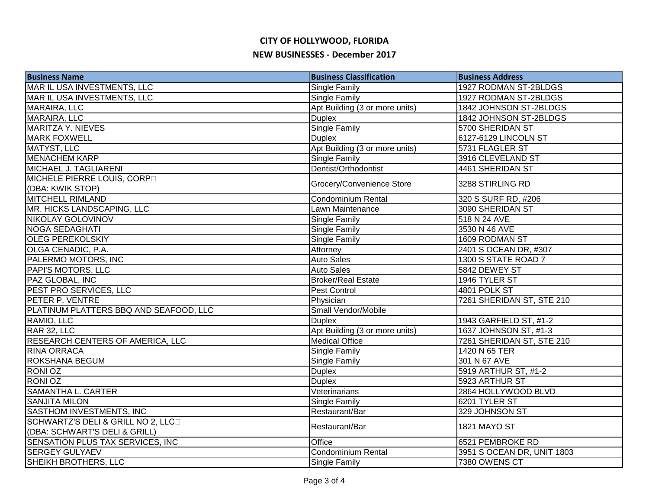| <b>Business Name</b>                   | <b>Business Classification</b> | <b>Business Address</b>    |
|----------------------------------------|--------------------------------|----------------------------|
| MAR IL USA INVESTMENTS, LLC            | Single Family                  | 1927 RODMAN ST-2BLDGS      |
| MAR IL USA INVESTMENTS, LLC            | <b>Single Family</b>           | 1927 RODMAN ST-2BLDGS      |
| MARAIRA, LLC                           | Apt Building (3 or more units) | 1842 JOHNSON ST-2BLDGS     |
| <b>MARAIRA, LLC</b>                    | <b>Duplex</b>                  | 1842 JOHNSON ST-2BLDGS     |
| MARITZA Y. NIEVES                      | Single Family                  | 5700 SHERIDAN ST           |
| <b>MARK FOXWELL</b>                    | <b>Duplex</b>                  | 6127-6129 LINCOLN ST       |
| MATYST, LLC                            | Apt Building (3 or more units) | 5731 FLAGLER ST            |
| <b>MENACHEM KARP</b>                   | <b>Single Family</b>           | 3916 CLEVELAND ST          |
| MICHAEL J. TAGLIARENI                  | Dentist/Orthodontist           | 4461 SHERIDAN ST           |
| MICHELE PIERRE LOUIS, CORPO            | Grocery/Convenience Store      | 3288 STIRLING RD           |
| (DBA: KWIK STOP)                       |                                |                            |
| <b>MITCHELL RIMLAND</b>                | Condominium Rental             | 320 S SURF RD, #206        |
| MR. HICKS LANDSCAPING, LLC             | Lawn Maintenance               | 3090 SHERIDAN ST           |
| NIKOLAY GOLOVINOV                      | Single Family                  | 518 N 24 AVE               |
| <b>NOGA SEDAGHATI</b>                  | <b>Single Family</b>           | 3530 N 46 AVE              |
| <b>OLEG PEREKOLSKIY</b>                | Single Family                  | 1609 RODMAN ST             |
| OLGA CENADIC, P.A.                     | Attorney                       | 2401 S OCEAN DR, #307      |
| PALERMO MOTORS, INC                    | <b>Auto Sales</b>              | 1300 S STATE ROAD 7        |
| <b>PAPI'S MOTORS, LLC</b>              | <b>Auto Sales</b>              | 5842 DEWEY ST              |
| PAZ GLOBAL, INC                        | <b>Broker/Real Estate</b>      | 1946 TYLER ST              |
| PEST PRO SERVICES, LLC                 | Pest Control                   | 4801 POLK ST               |
| PETER P. VENTRE                        | Physician                      | 7261 SHERIDAN ST, STE 210  |
| PLATINUM PLATTERS BBQ AND SEAFOOD, LLC | Small Vendor/Mobile            |                            |
| RAMIO, LLC                             | <b>Duplex</b>                  | 1943 GARFIELD ST, #1-2     |
| RAR 32, LLC                            | Apt Building (3 or more units) | 1637 JOHNSON ST, #1-3      |
| RESEARCH CENTERS OF AMERICA, LLC       | <b>Medical Office</b>          | 7261 SHERIDAN ST, STE 210  |
| <b>RINA ORRACA</b>                     | Single Family                  | 1420 N 65 TER              |
| <b>ROKSHANA BEGUM</b>                  | <b>Single Family</b>           | 301 N 67 AVE               |
| <b>RONIOZ</b>                          | <b>Duplex</b>                  | 5919 ARTHUR ST, #1-2       |
| <b>RONIOZ</b>                          | <b>Duplex</b>                  | 5923 ARTHUR ST             |
| <b>SAMANTHA L. CARTER</b>              | Veterinarians                  | 2864 HOLLYWOOD BLVD        |
| <b>SANJITA MILON</b>                   | Single Family                  | 6201 TYLER ST              |
| SASTHOM INVESTMENTS, INC               | Restaurant/Bar                 | 329 JOHNSON ST             |
| SCHWARTZ'S DELI & GRILL NO 2, LLCD     | Restaurant/Bar                 | 1821 MAYO ST               |
| (DBA: SCHWART'S DELI & GRILL)          |                                |                            |
| SENSATION PLUS TAX SERVICES, INC       | Office                         | 6521 PEMBROKE RD           |
| <b>SERGEY GULYAEV</b>                  | Condominium Rental             | 3951 S OCEAN DR, UNIT 1803 |
| SHEIKH BROTHERS, LLC                   | <b>Single Family</b>           | 7380 OWENS CT              |